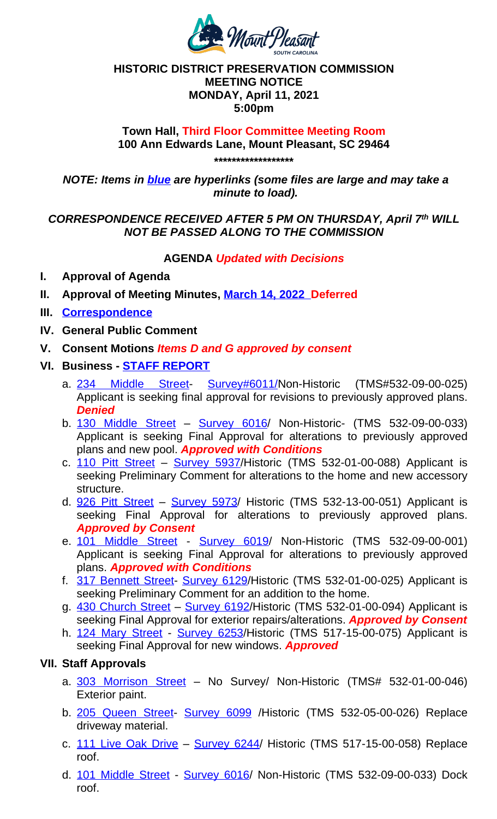## *NOTE: Items in blue are hyperlinks (some files are large and may take a minute to load).*

## *CORRESPONDENCE RECEIVED AFTER 5 PM ON THURSDAY, April 7 th WILL NOT BE PASSED ALONG TO THE COMMISSION*

## **AGENDA** *Updated with Decisions*

- **I. Approval of Agenda**
- **II. Approval of Meeting Minutes, March 14, 2022 Deferred**
- **III. Correspondence**
- **IV. General Public Comment**
- **V. Consent Motions** *Items D and G approved by consent*
- **VI. Business STAFF REPORT**
	- a. 234 Middle Street- Survey#6011/Non-Historic (TMS#532-09-00-025) Applicant is seeking final approval for revisions to previously approved plans. *Denied*
	- b. 130 Middle Street Survey 6016/ Non-Historic- (TMS 532-09-00-033) Applicant is seeking Final Approval for alterations to previously approved plans and new pool. *Approved with Conditions*
	- c. 110 Pitt Street Survey 5[937/Historic](https://www.tompsc.com/AgendaCenter/ViewFile/Minutes/_03142022-1164) (TMS [532-01-](https://www.tompsc.com/AgendaCenter/ViewFile/Minutes/_03142022-1164)00-088) Applicant is seeking Preliminary Comment for alterations to the home and new accessory [structure.](https://www.tompsc.com/DocumentCenter/View/41264/April-Correspondence)
	- d. 926 Pitt Street Survey 5973/ Historic (TMS 532-13-00-051) Applicant is seeking Final Approval for alterations to previously approved plans. *Approved by Consent*
	- e. 101 Mi[ddle Street](https://www.tompsc.com/DocumentCenter/View/41209/Staff-Report-April-2022) Survey 6019/ Non-Historic (TMS 532-09-00-001) [Applicant](https://www.tompsc.com/DocumentCenter/View/40302/234-Middle-Street-Final-Submittal) is seeking Final [Approval](https://www.tompsc.com/DocumentCenter/View/29125/234-Middle-Street---6011) for alterations to previously approved plans. *Approved with Conditions*
	- f. 317 Bennett Street- Survey 6129/Historic (TMS 532-01-00-025) Applicant is [seeking Preliminary](https://www.tompsc.com/DocumentCenter/View/41073/130-Middle-Street-Final-Submittal) Co[mment for an a](https://www.tompsc.com/DocumentCenter/View/29000/130-Middle-Street---6016)ddition to the home.
	- g. 430 Church Street Survey 6192/Historic (TMS 532-01-00-094) Applicant is seeking Final Approval for exterior repairs/alterations. *Approved by Consent*
	- h. [124 Mary Stree](https://www.tompsc.com/DocumentCenter/View/41071/110-Pitt-Street-Submittal)t [Survey 6253](https://www.tompsc.com/DocumentCenter/View/28944/110-Pitt-Street---5937)/Historic (TMS 517-15-00-075) Applicant is seeking Final Approval for new windows. *Approved*

## **VII. Staff Approvals**

- a. [303 Morrison](https://www.tompsc.com/DocumentCenter/View/41118/926-Pitt-Street-Submittal) Str[eet](https://www.tompsc.com/DocumentCenter/View/29424/926-Pitt-Street---5973) No Survey/ Non-Historic (TMS# 532-01-00-046) Exterior paint.
- b. [205 Queen Street-](https://www.tompsc.com/DocumentCenter/View/41070/101-Middle-Street-Final-Submittal) Su[rvey 609](https://www.tompsc.com/documentcenter/view/28895)9 [/H](https://www.tompsc.com/documentcenter/view/28895)istoric (TMS 532-05-00-026) Replace driveway material.
- c. 111 [Live Oak Drive](https://www.tompsc.com/DocumentCenter/View/41122/317-Bennet-Street-Submittal) [Survey 624](https://www.tompsc.com/documentcenter/view/29234)4/ Historic (TMS 517-15-00-058) Replace [roof](https://www.tompsc.com/DocumentCenter/View/41122/317-Bennet-Street-Submittal).
- d. [101 Middle Street](https://www.tompsc.com/DocumentCenter/View/41117/430-Church-Street-submittal) [Survey 6016](https://www.tompsc.com/documentcenter/view/29305)/ Non-Historic (TMS 532-09-00-033) Dock roof.